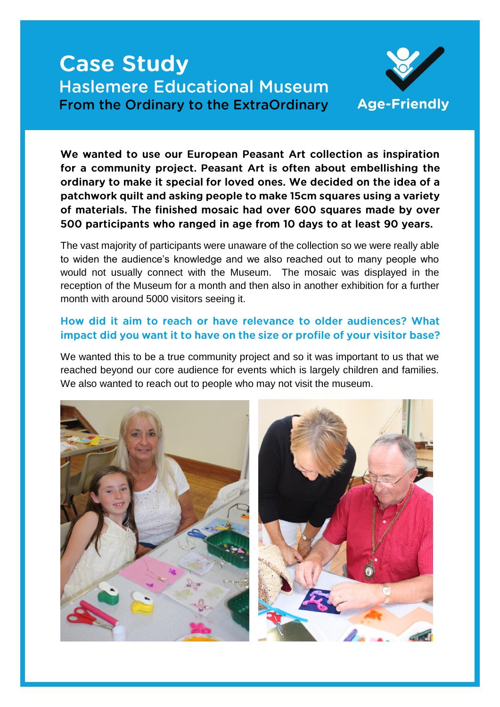# **Case Study Haslemere Educational Museum From the Ordinary to the ExtraOrdinary**



We wanted to use our European Peasant Art collection as inspiration for a community project. Peasant Art is often about embellishing the ordinary to make it special for loved ones. We decided on the idea of a patchwork quilt and asking people to make 15cm squares using a variety of materials. The finished mosaic had over 600 squares made by over 500 participants who ranged in age from 10 days to at least 90 years.

The vast majority of participants were unaware of the collection so we were really able to widen the audience's knowledge and we also reached out to many people who would not usually connect with the Museum. The mosaic was displayed in the reception of the Museum for a month and then also in another exhibition for a further month with around 5000 visitors seeing it.

# How did it aim to reach or have relevance to older audiences? What impact did you want it to have on the size or profile of your visitor base?

We wanted this to be a true community project and so it was important to us that we reached beyond our core audience for events which is largely children and families. We also wanted to reach out to people who may not visit the museum.

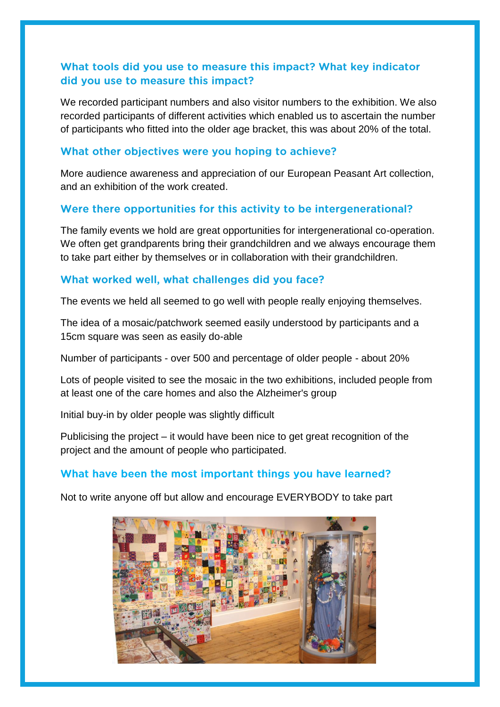# What tools did you use to measure this impact? What key indicator did you use to measure this impact?

We recorded participant numbers and also visitor numbers to the exhibition. We also recorded participants of different activities which enabled us to ascertain the number of participants who fitted into the older age bracket, this was about 20% of the total.

#### What other objectives were you hoping to achieve?

More audience awareness and appreciation of our European Peasant Art collection, and an exhibition of the work created.

#### Were there opportunities for this activity to be intergenerational?

The family events we hold are great opportunities for intergenerational co-operation. We often get grandparents bring their grandchildren and we always encourage them to take part either by themselves or in collaboration with their grandchildren.

#### What worked well, what challenges did you face?

The events we held all seemed to go well with people really enjoying themselves.

The idea of a mosaic/patchwork seemed easily understood by participants and a 15cm square was seen as easily do-able

Number of participants - over 500 and percentage of older people - about 20%

Lots of people visited to see the mosaic in the two exhibitions, included people from at least one of the care homes and also the Alzheimer's group

Initial buy-in by older people was slightly difficult

Publicising the project – it would have been nice to get great recognition of the project and the amount of people who participated.

### What have been the most important things you have learned?

Not to write anyone off but allow and encourage EVERYBODY to take part